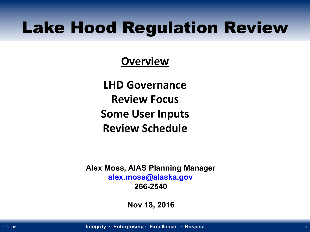## Lake Hood Regulation Review

#### **Overview**

**LHD Governance Review Focus Some User Inputs Review Schedule** 

**Alex Moss, AIAS Planning Manager alex.moss@alaska.gov 266-2540** 

**Nov 18, 2016**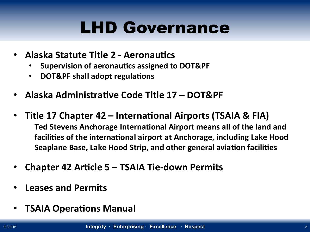# LHD Governance

- **Alaska Statute Title 2 Aeronautics** 
	- **Supervision of aeronautics assigned to DOT&PF**
	- **DOT&PF shall adopt regulations**
- Alaska Administrative Code Title 17 DOT&PF
- Title 17 Chapter 42 International Airports (TSAIA & FIA) Ted Stevens Anchorage International Airport means all of the land and facilities of the international airport at Anchorage, including Lake Hood **Seaplane Base, Lake Hood Strip, and other general aviation facilities**
- **Chapter 42 Article 5 TSAIA Tie-down Permits**
- **Leases and Permits**
- **TSAIA Operations Manual**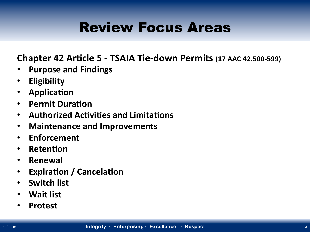## Review Focus Areas

**Chapter 42 Article 5 - TSAIA Tie-down Permits (17 AAC 42.500-599)** 

- **Purpose and Findings**
- **Eligibility**
- **•** Application
- **•** Permit Duration
- **Authorized Activities and Limitations**
- **Maintenance and Improvements**
- **Enforcement**
- **•** Retention
- **Renewal**
- Expiration / Cancelation
- Switch list
- Wait list
- **Protest**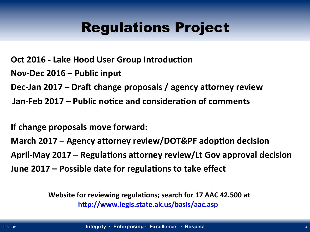### Regulations Project

**Oct 2016 - Lake Hood User Group Introduction** 

Nov-Dec 2016 – Public input

Dec-Jan 2017 – Draft change proposals / agency attorney review

Jan-Feb 2017 – Public notice and consideration of comments

**If change proposals move forward:** 

March 2017 – Agency attorney review/DOT&PF adoption decision April-May 2017 – Regulations attorney review/Lt Gov approval decision June 2017 – Possible date for regulations to take effect

> **h`p://www.legis.state.ak.us/basis/aac.asp Website for reviewing regulations; search for 17 AAC 42.500 at**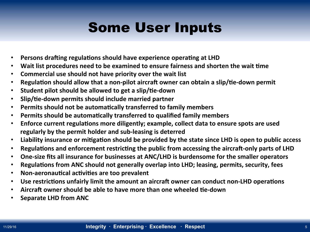## Some User Inputs

- **Persons drafting regulations should have experience operating at LHD**
- Wait list procedures need to be examined to ensure fairness and shorten the wait time
- **Commercial use should not have priority over the wait list**
- **Regulation should allow that a non-pilot aircraft owner can obtain a slip/tie-down permit**
- **•** Student pilot should be allowed to get a slip/tie-down
- **•** Slip/tie-down permits should include married partner
- **Permits should not be automatically transferred to family members**
- **Permits should be automatically transferred to qualified family members**
- Enforce current regulations more diligently; example, collect data to ensure spots are used regularly by the permit holder and sub-leasing is deterred
- Liability insurance or mitigation should be provided by the state since LHD is open to public access
- Regulations and enforcement restricting the public from accessing the aircraft-only parts of LHD
- One-size fits all insurance for businesses at ANC/LHD is burdensome for the smaller operators
- **Regulations from ANC should not generally overlap into LHD; leasing, permits, security, fees**
- **Non-aeronautical activities are too prevalent**
- Use restrictions unfairly limit the amount an aircraft owner can conduct non-LHD operations
- Aircraft owner should be able to have more than one wheeled tie-down
- **Separate LHD from ANC**